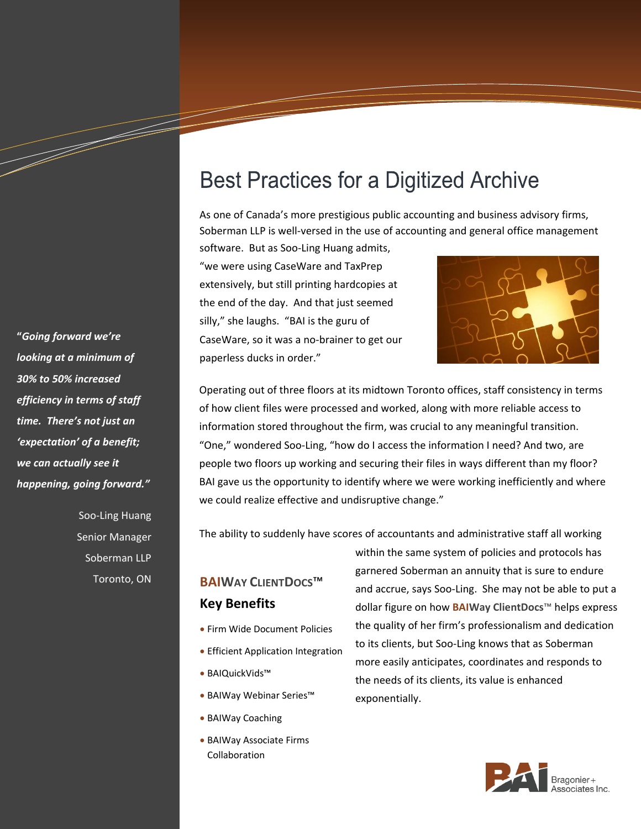# **Best Practices for a Digitized Archive**

As one of Canada's more prestigious public accounting and business advisory firms, Soberman LLP is well-versed in the use of accounting and general office management

software. But as Soo-Ling Huang admits, "we were using CaseWare and TaxPrep extensively, but still printing hardcopies at the end of the day. And that just seemed silly," she laughs. "BAI is the guru of CaseWare, so it was a no-brainer to get our paperless ducks in order."



Operating out of three floors at its midtown Toronto offices, staff consistency in terms of how client files were processed and worked, along with more reliable access to information stored throughout the firm, was crucial to any meaningful transition. "One," wondered Soo-Ling, "how do I access the information I need? And two, are people two floors up working and securing their files in ways different than my floor? BAI gave us the opportunity to identify where we were working inefficiently and where we could realize effective and undisruptive change."

The ability to suddenly have scores of accountants and administrative staff all working

## **BAIWAY CLIENTDOCS**™ **Key Benefits**

- Firm Wide Document Policies
- **Efficient Application Integration**
- BAIQuickVids™
- BAIWay Webinar Series™
- BAIWay Coaching
- BAIWay Associate Firms Collaboration

within the same system of policies and protocols has garnered Soberman an annuity that is sure to endure and accrue, says Soo-Ling. She may not be able to put a dollar figure on how **BAIWay ClientDocs**™ helps express the quality of her firm's professionalism and dedication to its clients, but Soo-Ling knows that as Soberman more easily anticipates, coordinates and responds to the needs of its clients, its value is enhanced exponentially.



**"***Going forward we're looking at a minimum of 30% to 50% increased efficiency in terms of staff time. There's not just an 'expectation' of a benefit; we can actually see it happening, going forward."*

a dheka waxaa ku dheegaalka waxaa ku dheegaalka dheegaalka dheegaalka dheegaalka dheegaalka dheegaalka dheegaa<br>Marka waxaa ku dheegaalka dheegaalka dheegaalka dheegaalka dheegaalka dheegaalka dheegaalka dheegaalka dheegaa

Soo-Ling Huang Senior Manager Soberman LLP Toronto, ON